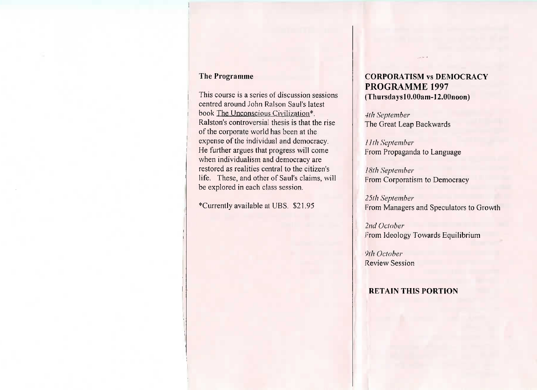## The Programme

This course is a series of discussion sessions centred around John Ralson Saul's latest book The Unconscious Civilization\*. Ralston's controversial thesis is that the riseof the corporate world has been at the expense of the individual and democracy. He further argues that progress will comewhen individualism and democracy are restored as realities central to the citizen's life. These, and other of Saul's claims, willbe explored in each class session.

Currently available at UBS, \$21.95

# **CORPORATISM vs DEMOCRACYPROGRAMME 1997**(ThursdayslO.OOam-12.00noon)

*4(h September*The Great Leap Backwards

/ *Ifh September*From Propaganda to Language

*I8fh September*From Corporatism to Democracy

*25th September*From Managers and Speculators to Growth

*2nd October*From Ideology Towards Equilibrium

*l)lh October*Review Session

#### **RETAIN THIS PORTION**